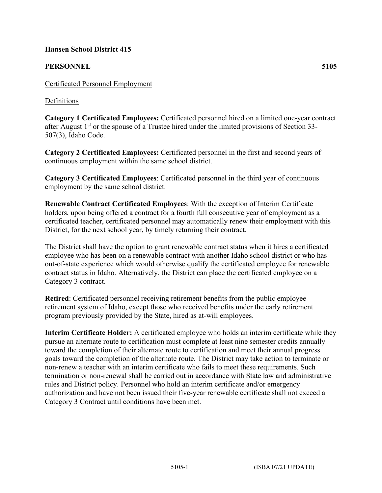### **Hansen School District 415**

# **PERSONNEL 5105**

## Definitions

**Category 1 Certificated Employees:** Certificated personnel hired on a limited one-year contract after August  $1<sup>st</sup>$  or the spouse of a Trustee hired under the limited provisions of Section 33-507(3), Idaho Code.

**Category 2 Certificated Employees:** Certificated personnel in the first and second years of continuous employment within the same school district.

**Category 3 Certificated Employees**: Certificated personnel in the third year of continuous employment by the same school district.

**Renewable Contract Certificated Employees**: With the exception of Interim Certificate holders, upon being offered a contract for a fourth full consecutive year of employment as a certificated teacher, certificated personnel may automatically renew their employment with this District, for the next school year, by timely returning their contract.

The District shall have the option to grant renewable contract status when it hires a certificated employee who has been on a renewable contract with another Idaho school district or who has out-of-state experience which would otherwise qualify the certificated employee for renewable contract status in Idaho. Alternatively, the District can place the certificated employee on a Category 3 contract.

**Retired**: Certificated personnel receiving retirement benefits from the public employee retirement system of Idaho, except those who received benefits under the early retirement program previously provided by the State, hired as at-will employees.

**Interim Certificate Holder:** A certificated employee who holds an interim certificate while they pursue an alternate route to certification must complete at least nine semester credits annually toward the completion of their alternate route to certification and meet their annual progress goals toward the completion of the alternate route. The District may take action to terminate or non-renew a teacher with an interim certificate who fails to meet these requirements. Such termination or non-renewal shall be carried out in accordance with State law and administrative rules and District policy. Personnel who hold an interim certificate and/or emergency authorization and have not been issued their five-year renewable certificate shall not exceed a Category 3 Contract until conditions have been met.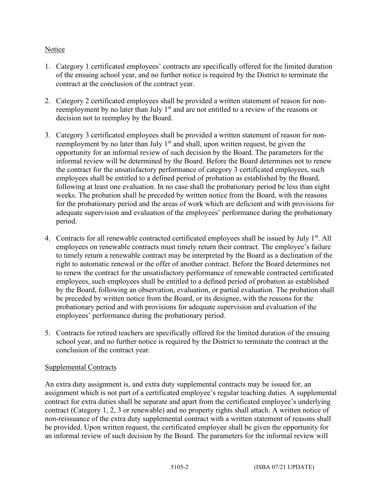### **Notice**

- 1. Category 1 certificated employees' contracts are specifically offered for the limited duration of the ensuing school year, and no further notice is required by the District to terminate the contract at the conclusion of the contract year.
- 2. Category 2 certificated employees shall be provided a written statement of reason for nonreemployment by no later than July  $1<sup>st</sup>$  and are not entitled to a review of the reasons or decision not to reemploy by the Board.
- 3. Category 3 certificated employees shall be provided a written statement of reason for nonreemployment by no later than July  $1<sup>st</sup>$  and shall, upon written request, be given the opportunity for an informal review of such decision by the Board. The parameters for the informal review will be determined by the Board. Before the Board determines not to renew the contract for the unsatisfactory performance of category 3 certificated employees, such employees shall be entitled to a defined period of probation as established by the Board, following at least one evaluation. In no case shall the probationary period be less than eight weeks. The probation shall be preceded by written notice from the Board, with the reasons for the probationary period and the areas of work which are deficient and with provisions for adequate supervision and evaluation of the employees' performance during the probationary period.
- 4. Contracts for all renewable contracted certificated employees shall be issued by July 1<sup>st</sup>. All employees on renewable contracts must timely return their contract. The employee's failure to timely return a renewable contract may be interpreted by the Board as a declination of the right to automatic renewal or the offer of another contract. Before the Board determines not to renew the contract for the unsatisfactory performance of renewable contracted certificated employees, such employees shall be entitled to a defined period of probation as established by the Board, following an observation, evaluation, or partial evaluation. The probation shall be preceded by written notice from the Board, or its designee, with the reasons for the probationary period and with provisions for adequate supervision and evaluation of the employees' performance during the probationary period.
- 5. Contracts for retired teachers are specifically offered for the limited duration of the ensuing school year, and no further notice is required by the District to terminate the contract at the conclusion of the contract year.

### Supplemental Contracts

An extra duty assignment is, and extra duty supplemental contracts may be issued for, an assignment which is not part of a certificated employee's regular teaching duties. A supplemental contract for extra duties shall be separate and apart from the certificated employee's underlying contract (Category 1, 2, 3 or renewable) and no property rights shall attach. A written notice of non-reissuance of the extra duty supplemental contract with a written statement of reasons shall be provided. Upon written request, the certificated employee shall be given the opportunity for an informal review of such decision by the Board. The parameters for the informal review will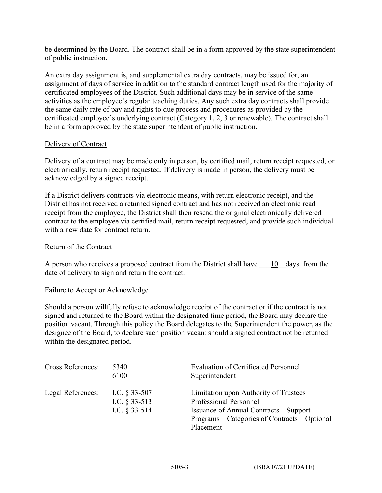be determined by the Board. The contract shall be in a form approved by the state superintendent of public instruction.

An extra day assignment is, and supplemental extra day contracts, may be issued for, an assignment of days of service in addition to the standard contract length used for the majority of certificated employees of the District. Such additional days may be in service of the same activities as the employee's regular teaching duties. Any such extra day contracts shall provide the same daily rate of pay and rights to due process and procedures as provided by the certificated employee's underlying contract (Category 1, 2, 3 or renewable). The contract shall be in a form approved by the state superintendent of public instruction.

### Delivery of Contract

Delivery of a contract may be made only in person, by certified mail, return receipt requested, or electronically, return receipt requested. If delivery is made in person, the delivery must be acknowledged by a signed receipt.

If a District delivers contracts via electronic means, with return electronic receipt, and the District has not received a returned signed contract and has not received an electronic read receipt from the employee, the District shall then resend the original electronically delivered contract to the employee via certified mail, return receipt requested, and provide such individual with a new date for contract return.

#### Return of the Contract

A person who receives a proposed contract from the District shall have  $\qquad 10$  days from the date of delivery to sign and return the contract.

#### Failure to Accept or Acknowledge

Should a person willfully refuse to acknowledge receipt of the contract or if the contract is not signed and returned to the Board within the designated time period, the Board may declare the position vacant. Through this policy the Board delegates to the Superintendent the power, as the designee of the Board, to declare such position vacant should a signed contract not be returned within the designated period.

| <b>Cross References:</b> | 5340<br>6100                                          | <b>Evaluation of Certificated Personnel</b><br>Superintendent                                                                                                                  |
|--------------------------|-------------------------------------------------------|--------------------------------------------------------------------------------------------------------------------------------------------------------------------------------|
| Legal References:        | I.C. $§$ 33-507<br>I.C. $§$ 33-513<br>I.C. $§$ 33-514 | Limitation upon Authority of Trustees<br><b>Professional Personnel</b><br>Issuance of Annual Contracts – Support<br>Programs – Categories of Contracts – Optional<br>Placement |